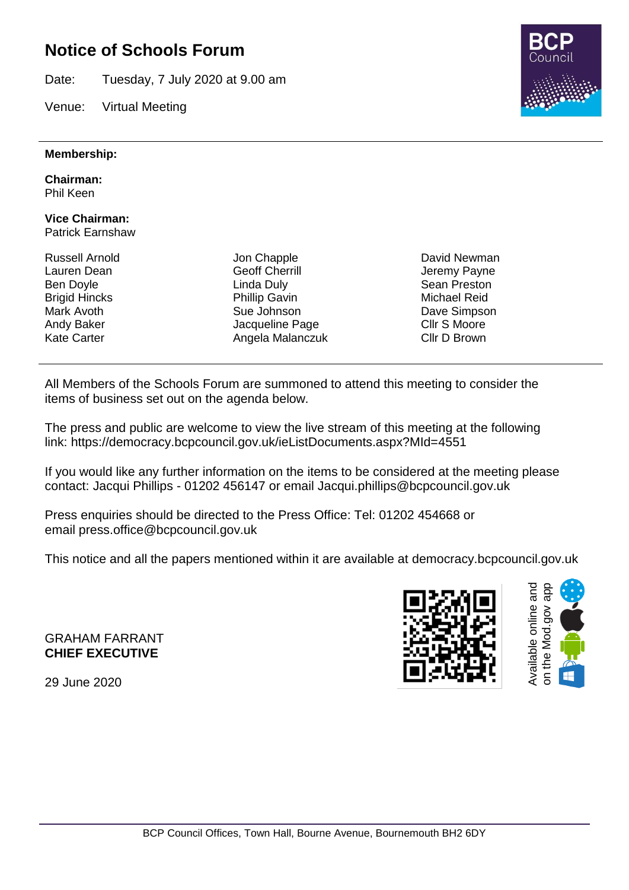## **Notice of Schools Forum**

Date: Tuesday, 7 July 2020 at 9.00 am

Venue: Virtual Meeting

#### **Membership:**

**Chairman:**

Phil Keen

#### **Vice Chairman:** Patrick Earnshaw

Russell Arnold Lauren Dean Ben Doyle Brigid Hincks Mark Avoth Andy Baker Kate Carter

Jon Chapple Geoff Cherrill Linda Duly Phillip Gavin Sue Johnson Jacqueline Page Angela Malanczuk David Newman Jeremy Payne Sean Preston Michael Reid Dave Simpson Cllr S Moore Cllr D Brown

All Members of the Schools Forum are summoned to attend this meeting to consider the items of business set out on the agenda below.

The press and public are welcome to view the live stream of this meeting at the following link: https://democracy.bcpcouncil.gov.uk/ieListDocuments.aspx?MId=4551

If you would like any further information on the items to be considered at the meeting please contact: Jacqui Phillips - 01202 456147 or email Jacqui.phillips@bcpcouncil.gov.uk

Press enquiries should be directed to the Press Office: Tel: 01202 454668 or email press.office@bcpcouncil.gov.uk

This notice and all the papers mentioned within it are available at democracy.bcpcouncil.gov.uk

GRAHAM FARRANT **CHIEF EXECUTIVE**

29 June 2020





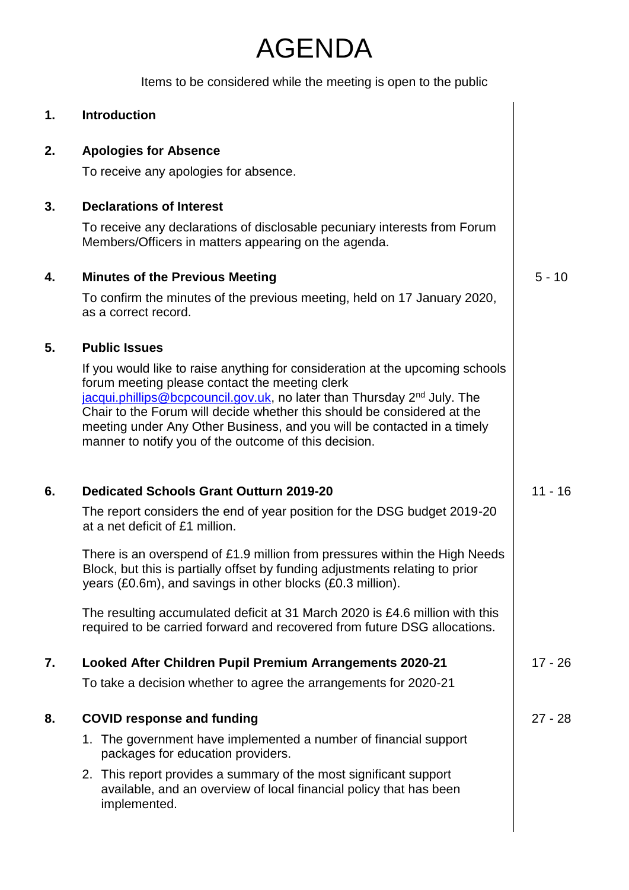# AGENDA

Items to be considered while the meeting is open to the public

| 1. | <b>Introduction</b>                                                                                                                                                                                                                                                                                                                                                                                                                   |           |
|----|---------------------------------------------------------------------------------------------------------------------------------------------------------------------------------------------------------------------------------------------------------------------------------------------------------------------------------------------------------------------------------------------------------------------------------------|-----------|
| 2. | <b>Apologies for Absence</b>                                                                                                                                                                                                                                                                                                                                                                                                          |           |
|    | To receive any apologies for absence.                                                                                                                                                                                                                                                                                                                                                                                                 |           |
| 3. | <b>Declarations of Interest</b>                                                                                                                                                                                                                                                                                                                                                                                                       |           |
|    | To receive any declarations of disclosable pecuniary interests from Forum<br>Members/Officers in matters appearing on the agenda.                                                                                                                                                                                                                                                                                                     |           |
| 4. | <b>Minutes of the Previous Meeting</b>                                                                                                                                                                                                                                                                                                                                                                                                | $5 - 10$  |
|    | To confirm the minutes of the previous meeting, held on 17 January 2020,<br>as a correct record.                                                                                                                                                                                                                                                                                                                                      |           |
| 5. | <b>Public Issues</b>                                                                                                                                                                                                                                                                                                                                                                                                                  |           |
|    | If you would like to raise anything for consideration at the upcoming schools<br>forum meeting please contact the meeting clerk<br>jacqui.phillips@bcpcouncil.gov.uk, no later than Thursday 2 <sup>nd</sup> July. The<br>Chair to the Forum will decide whether this should be considered at the<br>meeting under Any Other Business, and you will be contacted in a timely<br>manner to notify you of the outcome of this decision. |           |
| 6. | <b>Dedicated Schools Grant Outturn 2019-20</b>                                                                                                                                                                                                                                                                                                                                                                                        | $11 - 16$ |
|    | The report considers the end of year position for the DSG budget 2019-20<br>at a net deficit of £1 million.                                                                                                                                                                                                                                                                                                                           |           |
|    | There is an overspend of £1.9 million from pressures within the High Needs<br>Block, but this is partially offset by funding adjustments relating to prior<br>years (£0.6m), and savings in other blocks (£0.3 million).                                                                                                                                                                                                              |           |
|    | The resulting accumulated deficit at 31 March 2020 is £4.6 million with this<br>required to be carried forward and recovered from future DSG allocations.                                                                                                                                                                                                                                                                             |           |
| 7. | Looked After Children Pupil Premium Arrangements 2020-21                                                                                                                                                                                                                                                                                                                                                                              | $17 - 26$ |
|    | To take a decision whether to agree the arrangements for 2020-21                                                                                                                                                                                                                                                                                                                                                                      |           |
| 8. | <b>COVID response and funding</b>                                                                                                                                                                                                                                                                                                                                                                                                     | $27 - 28$ |
|    | 1. The government have implemented a number of financial support<br>packages for education providers.                                                                                                                                                                                                                                                                                                                                 |           |
|    | 2. This report provides a summary of the most significant support<br>available, and an overview of local financial policy that has been<br>implemented.                                                                                                                                                                                                                                                                               |           |